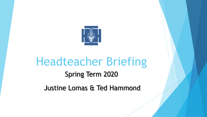

## Headteacher Briefing Spring Term 2020 Justine Lomas & Ted Hammond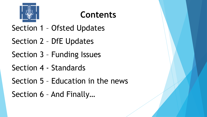

## **Contents**

Section 1 – Ofsted Updates

Section 2 – DfE Updates

Section 3 – Funding Issues

Section 4 - Standards

Section 5 – Education in the news

Section 6 – And Finally…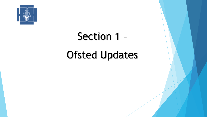

## Section 1 – Ofsted Updates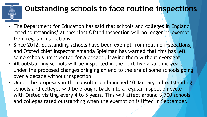

### **Outstanding schools to face routine inspections**

- The Department for Education has said that schools and colleges in England rated 'outstanding' at their last Ofsted inspection will no longer be exempt from regular inspections.
- Since 2012, outstanding schools have been exempt from routine inspections, and Ofsted chief inspector Amanda Spielman has warned that this has left some schools uninspected for a decade, leaving them without oversight.
- All outstanding schools will be inspected in the next five academic years under the proposed changes bringing an end to the era of some schools going over a decade without inspection
- Under the proposals in the consultation launched 10 January, all outstanding schools and colleges will be brought back into a regular inspection cycle – with Ofsted visiting every 4 to 5 years. This will affect around 3,700 schools and colleges rated outstanding when the exemption is lifted in September.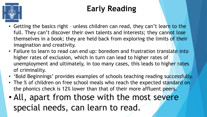

## **Early Reading**

- Getting the basics right unless children can read, they can't learn to the full. They can't discover their own talents and interests; they cannot lose themselves in a book; they are held back from exploring the limits of their imagination and creativity.
- Failure to learn to read can end up: boredom and frustration translate into higher rates of exclusion, which in turn can lead to higher rates of unemployment and ultimately, in too many cases, this leads to higher rates of criminality.
- 'Bold Beginnings' provides examples of schools teaching reading successfully.
- The % of children on free school meals who reach the expected standard on the phonics check is 12% lower than that of their more affluent peers.
- All, apart from those with the most severe special needs, can learn to read.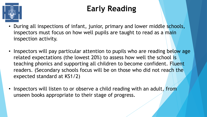

## **Early Reading**

- During all inspections of infant, junior, primary and lower middle schools, inspectors must focus on how well pupils are taught to read as a main inspection activity.
- Inspectors will pay particular attention to pupils who are reading below age related expectations (the lowest 20%) to assess how well the school is teaching phonics and supporting all children to become confident. Fluent readers. (Secondary schools focus will be on those who did not reach the expected standard at KS1/2)
- Inspectors will listen to or observe a child reading with an adult, from unseen books appropriate to their stage of progress.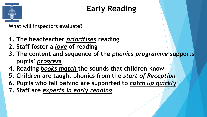

## **Early Reading**

**What will inspectors evaluate?**

- **1. The headteacher** *prioritises* **reading**
- **2. Staff foster a** *love* **of reading**
- **3. The content and sequence of the** *phonics programme* **supports pupils'** *progress*
- **4. Reading** *books match* **the sounds that children know**
- **5. Children are taught phonics from the** *start of Reception*
- **6. Pupils who fall behind are supported to** *catch up quickly*
- **7. Staff are** *experts in early reading*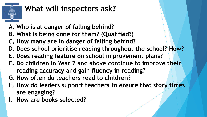

## **What will inspectors ask?**

- **A. Who is at danger of falling behind?**
- **B. What is being done for them? (Qualified?)**
- **C. How many are in danger of falling behind?**
- **D. Does school prioritise reading throughout the school? How?**
- **E. Does reading feature on school improvement plans?**
- **F. Do children in Year 2 and above continue to improve their reading accuracy and gain fluency in reading?**
- **G. How often do teachers read to children?**
- **H. How do leaders support teachers to ensure that story times are engaging?**
- **I. How are books selected?**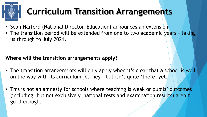## **Curriculum Transition Arrangements**

- Sean Harford (National Director, Education) announces an extension
- The transition period will be extended from one to two academic years taking us through to July 2021.

### **Where will the transition arrangements apply?**

- The transition arrangements will only apply when it's clear that a school is well on the way with its curriculum journey – but isn't quite 'there' yet.
- This is not an amnesty for schools where teaching is weak or pupils' outcomes (including, but not exclusively, national tests and examination results) aren't good enough.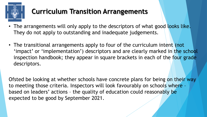

### **Curriculum Transition Arrangements**

- The arrangements will only apply to the descriptors of what good looks like. They do not apply to outstanding and inadequate judgements.
- The transitional arrangements apply to four of the curriculum intent (not 'impact' or 'implementation') descriptors and are clearly marked in the school inspection handbook; they appear in square brackets in each of the four grade descriptors.

Ofsted be looking at whether schools have concrete plans for being on their way to meeting those criteria. Inspectors will look favourably on schools where – based on leaders' actions – the quality of education could reasonably be expected to be good by September 2021.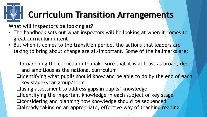## **Curriculum Transition Arrangements**

### **What will inspectors be looking at?**

- The handbook sets out what inspectors will be looking at when it comes to great curriculum intent.
- But when it comes to the transition period, the actions that leaders are taking to bring about change are all-important. Some of the hallmarks are:
	- ❑broadening the curriculum to make sure that it is at least as broad, deep and ambitious as the national curriculum
	- ❑identifying what pupils should know and be able to do by the end of each key stage/year group/term
	- ❑using assessment to address gaps in pupils' knowledge
	- ❑identifying the important knowledge in each subject or key stage
	- ❑considering and planning how knowledge should be sequenced
	- ❑already taking on an appropriate, effective way of teaching reading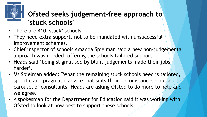

### **Ofsted seeks judgement-free approach to 'stuck schools'**

- There are 410 "stuck" schools
- They need extra support, not to be inundated with unsuccessful improvement schemes.
- Chief inspector of schools Amanda Spielman said a new non-judgemental approach was needed, offering the schools tailored support.
- Heads said 'being stigmatised by blunt judgements made their jobs harder'.
- Ms Spielman added: "What the remaining stuck schools need is tailored, specific and pragmatic advice that suits their circumstances - not a carousel of consultants. Heads are asking Ofsted to do more to help and we agree."
- A spokesman for the Department for Education said it was working with Ofsted to look at how best to support these schools.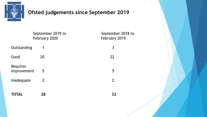

### **Ofsted judgements since September 2019**

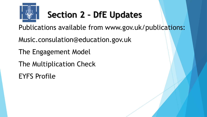

## **Section 2 – DfE Updates**

Publications available from www.gov.uk/publications:

Music.consulation@education.gov.uk

The Engagement Model

The Multiplication Check

EYFS Profile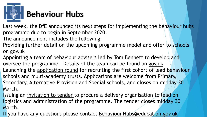

### **Behaviour Hubs**

Last week, the DfE announced its next steps for implementing the behaviour hubs programme due to begin in September 2020.

The announcement includes the following:

Providing further detail on the upcoming programme model and offer to schools on gov.uk

Appointing a team of behaviour advisers led by Tom Bennett to develop and oversee the programme. Details of the team can be found on gov.uk Launching the application round for recruiting the first cohort of lead behaviour schools and multi-academy trusts. Applications are welcome from Primary, Secondary, Alternative Provision and Special schools, and closes on midday 30 March.

Issuing an invitation to tender to procure a delivery organisation to lead on logistics and administration of the programme. The tender closes midday 30 March.

If you have any questions please contact Behaviour. Hubs@education.gov.uk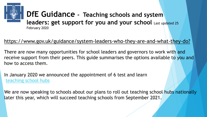

### **DfE Guidance - Teaching schools and system leaders: get support for you and your school** Last updated 25 February 2020

### https://www.gov.uk/guidance/system-leaders-who-they-are-and-what-they-do?

There are now many opportunities for school leaders and governors to work with and receive support from their peers. This guide summarises the options available to you and how to access them.

In January 2020 we announced the appointment of 6 test and learn [teaching school hubs](https://www.gov.uk/government/news/thousands-of-schools-to-improve-through-shared-expertise)

We are now speaking to schools about our plans to roll out teaching school hubs nationally later this year, which will succeed teaching schools from September 2021.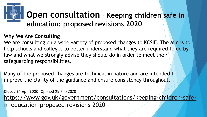## **Open consultation** - **Keeping children safe in education: proposed revisions 2020**

### **Why We Are Consulting**

We are consulting on a wide variety of proposed changes to KCSIE. The aim is to help schools and colleges to better understand what they are required to do by law and what we strongly advise they should do in order to meet their safeguarding responsibilities.

Many of the proposed changes are technical in nature and are intended to improve the clarity of the guidance and ensure consistency throughout.

**Closes 21 Apr 2020** Opened 25 Feb 2020 [https://www.gov.uk/government/consultations/keeping-children-safe](https://www.gov.uk/government/consultations/keeping-children-safe-in-education-proposed-revisions-2020)in-education-proposed-revisions-2020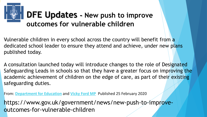## **DFE Updates - New push to improve outcomes for vulnerable children**

Vulnerable children in every school across the country will benefit from a dedicated school leader to ensure they attend and achieve, under new plans published today.

A consultation launched today will introduce changes to the role of Designated Safeguarding Leads in schools so that they have a greater focus on improving the academic achievement of children on the edge of care, as part of their existing safeguarding duties.

From: **[Department for Education](https://www.gov.uk/government/organisations/department-for-education)** and **[Vicky Ford MP](https://www.gov.uk/government/people/vicky-ford)** Published 25 February 2020

https://www.gov.uk/government/news/new-push-to-improveoutcomes-for-vulnerable-children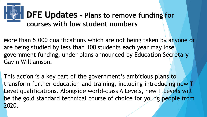## **DFE Updates - Plans to remove funding for courses with low student numbers**

More than 5,000 qualifications which are not being taken by anyone or are being studied by less than 100 students each year may lose government funding, under plans announced by Education Secretary Gavin Williamson.

This action is a key part of the government's ambitious plans to transform further education and training, including introducing new T Level qualifications. Alongside world-class A Levels, new T Levels will be the gold standard technical course of choice for young people from 2020.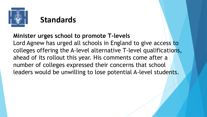

### **Standards**

### **Minister urges school to promote T-levels**

Lord Agnew has urged all schools in England to give access to colleges offering the A-level alternative T-level qualifications, ahead of its rollout this year. His comments come after a number of colleges expressed their concerns that school leaders would be unwilling to lose potential A-level students.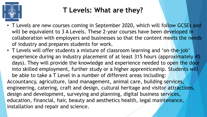

### **T Levels: What are they?**

- T Levels are new courses coming in September 2020, which will follow GCSEs and will be equivalent to 3 A Levels. These 2-year courses have been developed in collaboration with employers and businesses so that the content meets the needs of industry and prepares students for work.
- T Levels will offer students a mixture of classroom learning and 'on-the-job' experience during an industry placement of at least 315 hours (approximately 45 days). They will provide the knowledge and experience needed to open the door into skilled employment, further study or a higher apprenticeship. Students will be able to take a T Level in a number of different areas including: Accountancy, agriculture, land management, animal care, building services, engineering, catering, craft and design, cultural heritage and visitor attractions, design and development, surveying and planning, digital business services, education, financial, hair, beauty and aesthetics health, legal maintenance, installation and repair and science.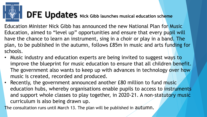## **DFE Updates Nick Gibb launches musical education scheme**

Education Minister Nick Gibb has announced the new National Plan for Music Education, aimed to "level up" opportunities and ensure that every pupil will have the chance to learn an instrument, sing in a choir or play in a band. The plan, to be published in the autumn, follows £85m in music and arts funding for schools.

- Music industry and education experts are being invited to suggest ways to improve the blueprint for music education to ensure that all children benefit. The government also wants to keep up with advances in technology over how music is created, recorded and produced.
- Recently, the government announced another £80 million to fund music education hubs, whereby organisations enable pupils to access to instruments and support whole classes to play together, in 2020-21. A non-statutory music curriculum is also being drawn up.

The consultation runs until March 13. The plan will be published in autumn.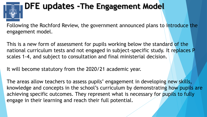## **DFE updates -The Engagement Model**

Following the Rochford Review, the government announced plans to introduce the engagement model.

This is a new form of assessment for pupils working below the standard of the national curriculum tests and not engaged in subject-specific study. It replaces P scales 1-4, and subject to consultation and final ministerial decision.

It will become statutory from the 2020/21 academic year.

The areas allow teachers to assess pupils' engagement in developing new skills, knowledge and concepts in the school's curriculum by demonstrating how pupils are achieving specific outcomes. They represent what is necessary for pupils to fully engage in their learning and reach their full potential.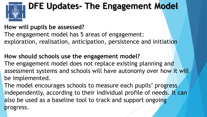

## **DFE Updates- The Engagement Model**

### **How will pupils be assessed?**

The engagement model has 5 areas of engagement: exploration, realisation, anticipation, persistence and initiation

**How should schools use the engagement model?** The engagement model does not replace existing planning and assessment systems and schools will have autonomy over how it will be implemented.

The model encourages schools to measure each pupils' progress independently, according to their individual profile of needs. It can also be used as a baseline tool to track and support ongoing progress.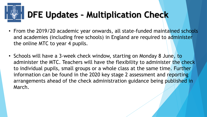## **DFE Updates – Multiplication Check**

- From the 2019/20 academic year onwards, all state-funded maintained schools and academies (including free schools) in England are required to administer the online MTC to year 4 pupils.
- Schools will have a 3-week check window, starting on Monday 8 June, to administer the MTC. Teachers will have the flexibility to administer the check to individual pupils, small groups or a whole class at the same time. Further information can be found in the 2020 key stage 2 assessment and reporting arrangements ahead of the check administration guidance being published in March.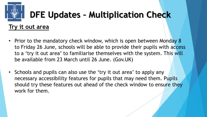## **DFE Updates – Multiplication Check**

### **Try it out area**

- Prior to the mandatory check window, which is open between Monday 8 to Friday 26 June, schools will be able to provide their pupils with access to a 'try it out area' to familiarise themselves with the system. This will be available from 23 March until 26 June. (Gov.UK)
- Schools and pupils can also use the 'try it out area' to apply any necessary accessibility features for pupils that may need them. Pupils should try these features out ahead of the check window to ensure they work for them.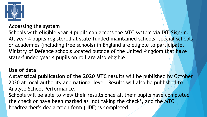

#### **Accessing the system**

Schools with eligible year 4 pupils can access the MTC system via DfE Sign-in. All year 4 pupils registered at state-funded maintained schools, special schools or academies (including free schools) in England are eligible to participate. Ministry of Defence schools located outside of the United Kingdom that have state-funded year 4 pupils on roll are also eligible.

#### **Use of data**

A **statistical publication of the 2020 MTC results** will be published by October 2020 at local authority and national level. Results will also be published to Analyse School Performance.

Schools will be able to view their results once all their pupils have completed the check or have been marked as 'not taking the check', and the MTC headteacher's declaration form (HDF) is completed.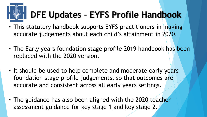## **DFE Updates – EYFS Profile Handbook**

- This statutory handbook supports EYFS practitioners in making accurate judgements about each child's attainment in 2020.
- The Early years foundation stage profile 2019 handbook has been replaced with the 2020 version.
- It should be used to help complete and moderate early years foundation stage profile judgements, so that outcomes are accurate and consistent across all early years settings.
- The guidance has also been aligned with the 2020 teacher assessment guidance for [key stage 1](https://www.gov.uk/government/publications/key-stage-1-teacher-assessment-guidance) and [key stage 2.](https://www.gov.uk/government/publications/key-stage-2-teacher-assessment-guidance)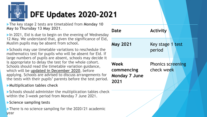# **DFE Updates 2020-2021**

The key stage 2 tests are timetabled from **Monday 10 May to Thursday 13 May 2021**.

 $\blacktriangleright$  In 2021, Eid is due to begin on the evening of Wednesday 12 May. We understand that, given the significance of Eid, Muslim pupils may be absent from school.

Schools may use timetable variations to reschedule the mathematics test for pupils who will be absent for Eid. If large numbers of pupils are absent, schools may decide it is appropriate to delay the test for the whole cohort. Schools should read the timetable variation guidance, which will be **updated in December 2020**, before applying. Schools are advised to discuss arrangements for the tests with their pupils' parents before the test period.

#### **Multiplication tables check**

Schools should administer the multiplication tables check within the 3-week period from Monday 7 June 2021.

#### **Science sampling tests**

There is no science sampling for the 2020/21 academic year

| Date                                               | <b>Activity</b>                        |
|----------------------------------------------------|----------------------------------------|
| <b>May 2021</b>                                    | Key stage 1 test<br>period             |
| Week<br>commencing<br><b>Monday 7 June</b><br>2021 | <b>Phonics screening</b><br>check week |
|                                                    |                                        |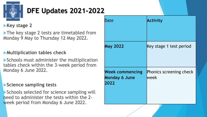

### **DFE Updates 2021-2022**

### **Key stage 2**

The key stage 2 tests are timetabled from Monday 9 May to Thursday 12 May 2022.

### **Multiplication tables check**

Schools must administer the multiplication tables check within the 3-week period from Monday 6 June 2022.

#### **Science sampling tests**

Schools selected for science sampling will need to administer the tests within the 2 week period from Monday 6 June 2022.

| Date                                                   | <b>Activity</b>                  |
|--------------------------------------------------------|----------------------------------|
| <b>May 2022</b>                                        | Key stage 1 test period          |
| <b>Week commencing</b><br><b>Monday 6 June</b><br>2022 | Phonics screening check<br>lweek |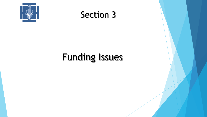

### Section 3

## Funding Issues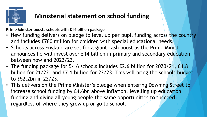

**Prime Minister boosts schools with £14 billion package**

- New funding delivers on pledge to level up per pupil funding across the country and includes £780 million for children with special educational needs.
- Schools across England are set for a giant cash boost as the Prime Minister announces he will invest over £14 billion in primary and secondary education between now and 2022/23.
- The funding package for 5-16 schools includes £2.6 billion for 2020/21, £4.8 billion for 21/22, and £7.1 billion for 22/23. This will bring the schools budget to £52.2bn in 22/23.
- This delivers on the Prime Minister's pledge when entering Downing Street to increase school funding by £4.6bn above inflation, levelling up education funding and giving all young people the same opportunities to succeed – regardless of where they grow up or go to school.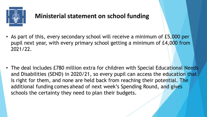

• As part of this, every secondary school will receive a minimum of £5,000 per pupil next year, with every primary school getting a minimum of £4,000 from 2021/22.

• The deal includes £780 million extra for children with Special Educational Needs and Disabilities (SEND) in 2020/21, so every pupil can access the education that is right for them, and none are held back from reaching their potential. The additional funding comes ahead of next week's Spending Round, and gives schools the certainty they need to plan their budgets.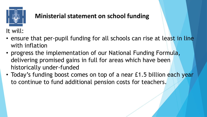

### It will:

- ensure that per-pupil funding for all schools can rise at least in line with inflation
- progress the implementation of our National Funding Formula, delivering promised gains in full for areas which have been historically under-funded
- Today's funding boost comes on top of a near £1.5 billion each year to continue to fund additional pension costs for teachers.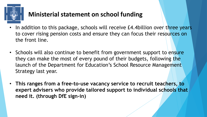

- In addition to this package, schools will receive £4.4billion over three years to cover rising pension costs and ensure they can focus their resources on the front line.
- Schools will also continue to benefit from government support to ensure they can make the most of every pound of their budgets, following the launch of the Department for Education's School Resource Management Strategy last year.
- **This ranges from a free-to-use vacancy service to recruit teachers, to expert advisers who provide tailored support to individual schools that need it. (through DfE sign-in)**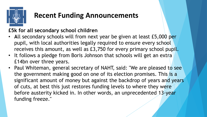

### **Recent Funding Announcements**

### **£5k for all secondary school children**

- **A**ll secondary schools will from next year be given at least £5,000 per pupil, with local authorities legally required to ensure every school receives this amount, as well as £3,750 for every primary school pupil.
- It follows a pledge from Boris Johnson that schools will get an extra £14bn over three years.
- Paul Whiteman, general secretary of NAHT, said: "We are pleased to see the government making good on one of its election promises. This is a significant amount of money but against the backdrop of years and years of cuts, at best this just restores funding levels to where they were before austerity kicked in. In other words, an unprecedented 13-year funding freeze."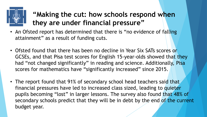

### **"Making the cut: how schools respond when they are under financial pressure"**

- An Ofsted report has determined that there is "no evidence of falling attainment" as a result of funding cuts.
- Ofsted found that there has been no decline in Year Six SATs scores or GCSEs, and that Pisa test scores for English 15-year-olds showed that they had "not changed significantly" in reading and science. Additionally, Pisa scores for mathematics have "significantly increased" since 2015.
- The report found that 91% of secondary school head teachers said that financial pressures have led to increased class sized, leading to quieter pupils becoming "lost" in larger lessons. The survey also found that 48% of secondary schools predict that they will be in debt by the end of the current budget year.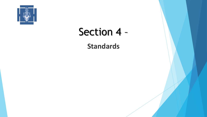

## Section 4 –

**Standards**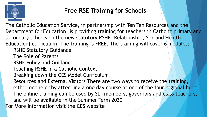

### **Free RSE Training for Schools**

The Catholic Education Service, in partnership with Ten Ten Resources and the Department for Education, is providing training for teachers in Catholic primary and secondary schools on the new statutory RSHE (Relationship, Sex and Health Education) curriculum. The training is FREE. The training will cover 6 modules: RSHE Statutory Guidance The Role of Parents RSHE Policy and Guidance Teaching RSHE in a Catholic Context Breaking down the CES Model Curriculum Resources and External Visitors There are two ways to receive the training, either online or by attending a one day course at one of the four regional hubs. The online training can be used by SLT members, governors and class teachers, and will be available in the Summer Term 2020 For More information visit the CES website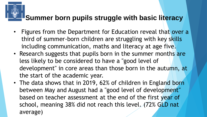### **Summer born pupils struggle with basic literacy**

- Figures from the Department for Education reveal that over a third of summer-born children are struggling with key skills including communication, maths and literacy at age five.
- Research suggests that pupils born in the summer months are less likely to be considered to have a "good level of development" in core areas than those born in the autumn, at the start of the academic year.
- The data shows that in 2019, 62% of children in England born between May and August had a "good level of development" based on teacher assessment at the end of the first year of school, meaning 38% did not reach this level. (72% GLD nat average)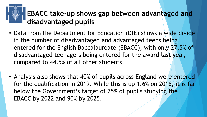### **EBACC take-up shows gap between advantaged and disadvantaged pupils**

- Data from the Department for Education (DfE) shows a wide divide in the number of disadvantaged and advantaged teens being entered for the English Baccalaureate (EBACC), with only 27.5% of disadvantaged teenagers being entered for the award last year, compared to 44.5% of all other students.
- Analysis also shows that 40% of pupils across England were entered for the qualification in 2019. While this is up 1.6% on 2018, it is far below the Government's target of 75% of pupils studying the EBACC by 2022 and 90% by 2025.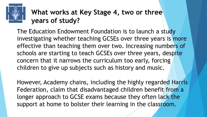### **What works at Key Stage 4, two or three years of study?**

The Education Endowment Foundation is to launch a study investigating whether teaching GCSEs over three years is more effective than teaching them over two. Increasing numbers of schools are starting to teach GCSEs over three years, despite concern that it narrows the curriculum too early, forcing children to give up subjects such as history and music.

However, Academy chains, including the highly regarded Harris Federation, claim that disadvantaged children benefit from a longer approach to GCSE exams because they often lack the support at home to bolster their learning in the classroom.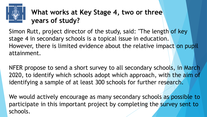

### **What works at Key Stage 4, two or three years of study?**

Simon Rutt, project director of the study, said: "The length of key stage 4 in secondary schools is a topical issue in education. However, there is limited evidence about the relative impact on pupil attainment.

NFER propose to send a short survey to all secondary schools, in March 2020, to identify which schools adopt which approach, with the aim of identifying a sample of at least 300 schools for further research.

We would actively encourage as many secondary schools as possible to participate in this important project by completing the survey sent to schools.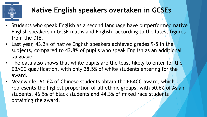

### **Native English speakers overtaken in GCSEs**

- Students who speak English as a second language have outperformed native English speakers in GCSE maths and English, according to the latest figures from the DfE.
- Last year, 43.2% of native English speakers achieved grades 9-5 in the subjects, compared to 43.8% of pupils who speak English as an additional language.
- The data also shows that white pupils are the least likely to enter for the EBACC qualification, with only 38.5% of white students entering for the award.
- Meanwhile, 61.6% of Chinese students obtain the EBACC award, which represents the highest proportion of all ethnic groups, with 50.6% of Asian students, 46.5% of black students and 44.3% of mixed race students obtaining the award.,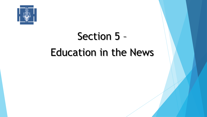

## Section 5 – Education in the News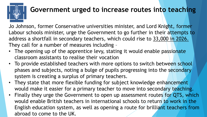

### **Government urged to increase routes into teaching**

Jo Johnson, former Conservative universities minister, and Lord Knight, former Labour schools minister, urge the Government to go further in their attempts to address a shortfall in secondary teachers, which could rise to 33,000 in 2026. They call for a number of measures including –

- The opening up of the apprentice levy, stating it would enable passionate classroom assistants to realise their vocation
- To provide established teachers with more options to switch between school phases and subjects, noting a bulge of pupils progressing into the secondary system is creating a surplus of primary teachers.
- They state that more flexible funding for subject knowledge enhancement would make it easier for a primary teacher to move into secondary teaching.
- Finally they urge the Government to open up assessment routes for QTS, which would enable British teachers in international schools to return to work in the English education system, as well as opening a route for brilliant teachers from abroad to come to the UK.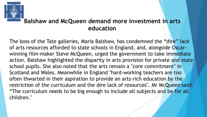

### **Balshaw and McQueen demand more investment in arts education**

The boss of the Tate galleries, Maria Balshaw, has condemned the "dire" lack of arts resources afforded to state schools in England, and, alongside Oscarwinning film-maker Steve McQueen, urged the government to take immediate action. Balshaw highlighted the disparity in arts provision for private and state school pupils. She also noted that the arts remain a "core commitment" in Scotland and Wales. Meanwhile in England "hard-working teachers are too often thwarted in their aspiration to provide an arts-rich education by the restriction of the curriculum and the dire lack of resources". Mr McQueen said: "The curriculum needs to be big enough to include all subjects and be for all children."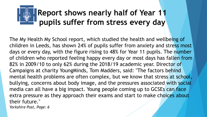## **Report shows nearly half of Year 11 pupils suffer from stress every day**

The My Health My School report, which studied the health and wellbeing of children in Leeds, has shown 24% of pupils suffer from anxiety and stress most days or every day, with the figure rising to 48% for Year 11 pupils. The number of children who reported feeling happy every day or most days has fallen from 82% in 2009/10 to only 62% during the 2018/19 academic year. Director of Campaigns at charity YoungMinds, Tom Madders, said: "The factors behind mental health problems are often complex, but we know that stress at school, bullying, concerns about body image, and the pressures associated with social media can all have a big impact. Young people coming up to GCSEs can face extra pressure as they approach their exams and start to make choices about their future." *Yorkshire Post, Page: 6*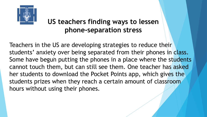

### **US teachers finding ways to lessen phone-separation stress**

Teachers in the US are developing strategies to reduce their students' anxiety over being separated from their phones in class. Some have begun putting the phones in a place where the students cannot touch them, but can still see them. One teacher has asked her students to download the Pocket Points app, which gives the students prizes when they reach a certain amount of classroom hours without using their phones. .<br>.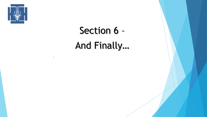

.

Section 6 – And Finally…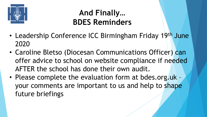

### **And Finally… BDES Reminders**

- Leadership Conference ICC Birmingham Friday 19th June 2020
- Caroline Bletso (Diocesan Communications Officer) can offer advice to school on website compliance if needed AFTER the school has done their own audit. .
- Please complete the evaluation form at bdes.org.uk your comments are important to us and help to shape future briefings